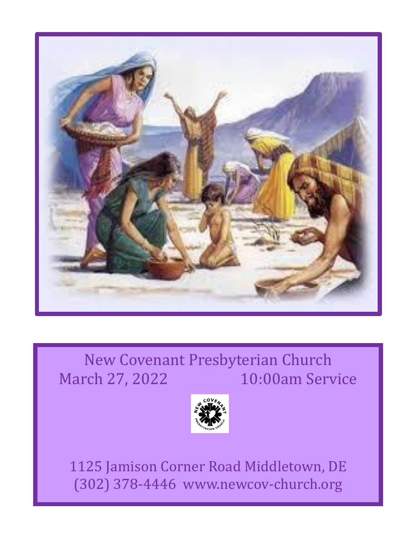

## New Covenant Presbyterian Church March 27, 2022 10:00am Service



1125 Jamison Corner Road Middletown, DE (302) 378-4446 www.newcov-church.org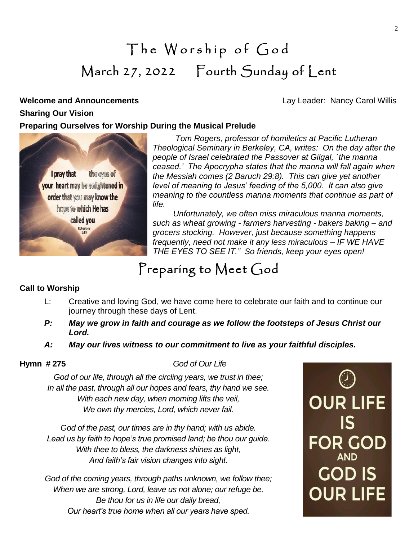# The Worship of God March 27, 2022 Fourth Sunday of Lent

**Welcome and Announcements Constanting Constanting Carol Willis Constanting Carol Willis Constanting Carol Willis** 

## **Sharing Our Vision**

**Preparing Ourselves for Worship During the Musical Prelude**



 *Tom Rogers, professor of homiletics at Pacific Lutheran Theological Seminary in Berkeley, CA, writes: On the day after the people of Israel celebrated the Passover at Gilgal, `the manna ceased.' The Apocrypha states that the manna will fall again when the Messiah comes (2 Baruch 29:8). This can give yet another level of meaning to Jesus' feeding of the 5,000. It can also give meaning to the countless manna moments that continue as part of life.* 

 *Unfortunately, we often miss miraculous manna moments, such as wheat growing - farmers harvesting - bakers baking – and grocers stocking. However, just because something happens frequently, need not make it any less miraculous – IF WE HAVE THE EYES TO SEE IT." So friends, keep your eyes open!*

## Preparing to Meet God

## **Call to Worship**

- L: Creative and loving God, we have come here to celebrate our faith and to continue our journey through these days of Lent.
- *P: May we grow in faith and courage as we follow the footsteps of Jesus Christ our Lord.*
- *A: May our lives witness to our commitment to live as your faithful disciples.*

**Hymn # 275** *God of Our Life*

*God of our life, through all the circling years, we trust in thee; In all the past, through all our hopes and fears, thy hand we see. With each new day, when morning lifts the veil, We own thy mercies, Lord, which never fail.*

*God of the past, our times are in thy hand; with us abide. Lead us by faith to hope's true promised land; be thou our guide. With thee to bless, the darkness shines as light, And faith's fair vision changes into sight.*

*God of the coming years, through paths unknown, we follow thee; When we are strong, Lord, leave us not alone; our refuge be. Be thou for us in life our daily bread, Our heart's true home when all our years have sped.*

**OUR LIFE**  $|S|$ FOR GOD **GOD IS OUR LIFE**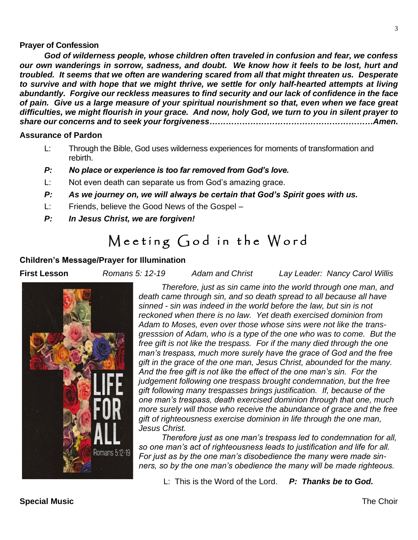### **Prayer of Confession**

*God of wilderness people, whose children often traveled in confusion and fear, we confess our own wanderings in sorrow, sadness, and doubt. We know how it feels to be lost, hurt and troubled. It seems that we often are wandering scared from all that might threaten us. Desperate to survive and with hope that we might thrive, we settle for only half-hearted attempts at living abundantly. Forgive our reckless measures to find security and our lack of confidence in the face of pain. Give us a large measure of your spiritual nourishment so that, even when we face great difficulties, we might flourish in your grace. And now, holy God, we turn to you in silent prayer to share our concerns and to seek your forgiveness……………………………………………………Amen.*

### **Assurance of Pardon**

- L: Through the Bible, God uses wilderness experiences for moments of transformation and rebirth.
- *P: No place or experience is too far removed from God's love.*
- L: Not even death can separate us from God's amazing grace.
- *P: As we journey on, we will always be certain that God's Spirit goes with us.*
- L: Friends, believe the Good News of the Gospel –
- *P: In Jesus Christ, we are forgiven!*

## Meeting God in the Word

## **Children's Message/Prayer for Illumination**

**First Lesson** *Romans 5: 12-19 Adam and Christ Lay Leader: Nancy Carol Willis*



 *Therefore, just as sin came into the world through one man, and death came through sin, and so death spread to all because all have sinned - sin was indeed in the world before the law, but sin is not reckoned when there is no law. Yet death exercised dominion from Adam to Moses, even over those whose sins were not like the transgresssion of Adam, who is a type of the one who was to come. But the free gift is not like the trespass. For if the many died through the one man's trespass, much more surely have the grace of God and the free gift in the grace of the one man, Jesus Christ, abounded for the many. And the free gift is not like the effect of the one man's sin. For the judgement following one trespass brought condemnation, but the free gift following many trespasses brings justification. If, because of the one man's trespass, death exercised dominion through that one, much more surely will those who receive the abundance of grace and the free gift of righteousness exercise dominion in life through the one man, Jesus Christ.*

 *Therefore just as one man's trespass led to condemnation for all, so one man's act of righteousness leads to justification and life for all. For just as by the one man's disobedience the many were made sinners, so by the one man's obedience the many will be made righteous.*

L: This is the Word of the Lord. *P: Thanks be to God.*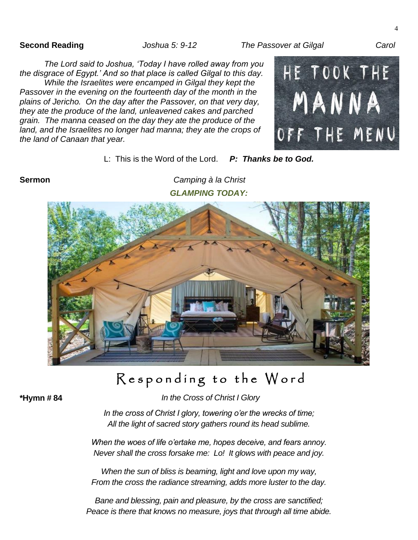**Second Reading** *Joshua 5: 9-12 The Passover at Gilgal Carol*

 $\Delta$ 

*The Lord said to Joshua, 'Today I have rolled away from you the disgrace of Egypt.' And so that place is called Gilgal to this day. While the Israelites were encamped in Gilgal they kept the Passover in the evening on the fourteenth day of the month in the plains of Jericho. On the day after the Passover, on that very day, they ate the produce of the land, unleavened cakes and parched grain. The manna ceased on the day they ate the produce of the land, and the Israelites no longer had manna; they ate the crops of the land of Canaan that year.*



L: This is the Word of the Lord. *P: Thanks be to God.*

**Sermon** *Camping à la Christ GLAMPING TODAY:*



## Responding to the Word

**\*Hymn # 84** *In the Cross of Christ I Glory*

*In the cross of Christ I glory, towering o'er the wrecks of time; All the light of sacred story gathers round its head sublime.*

*When the woes of life o'ertake me, hopes deceive, and fears annoy. Never shall the cross forsake me: Lo! It glows with peace and joy.*

*When the sun of bliss is beaming, light and love upon my way, From the cross the radiance streaming, adds more luster to the day.*

*Bane and blessing, pain and pleasure, by the cross are sanctified; Peace is there that knows no measure, joys that through all time abide.*